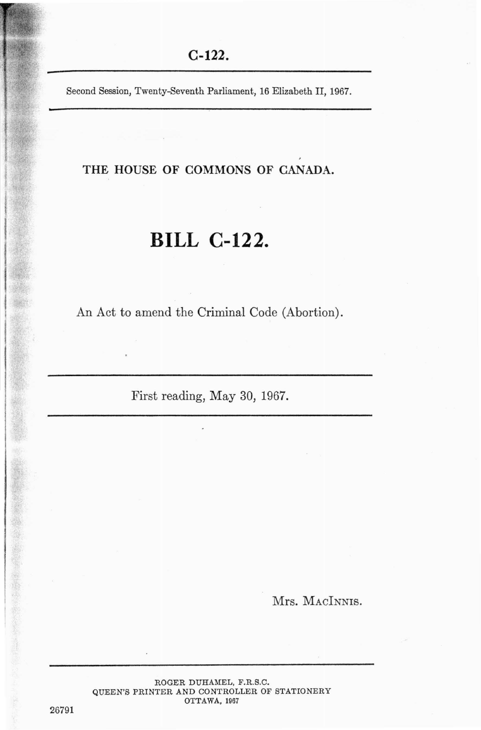Second Session, Twenty-Seventh Parliament, 16 Elizabeth II, 1967.

THE HOUSE OF COMMONS OF CANADA.

# **BILL C-122.**

An Act to amend the Criminal Code (Abortion).

First reading, May 30, 1967.

Mrs. MACINNIS.

ROGER DUHAMEL, F.R.S.C. QUEEN'S PRINTER AND CONTROLLER OF STATIONERY OTTAWA, 1967

26791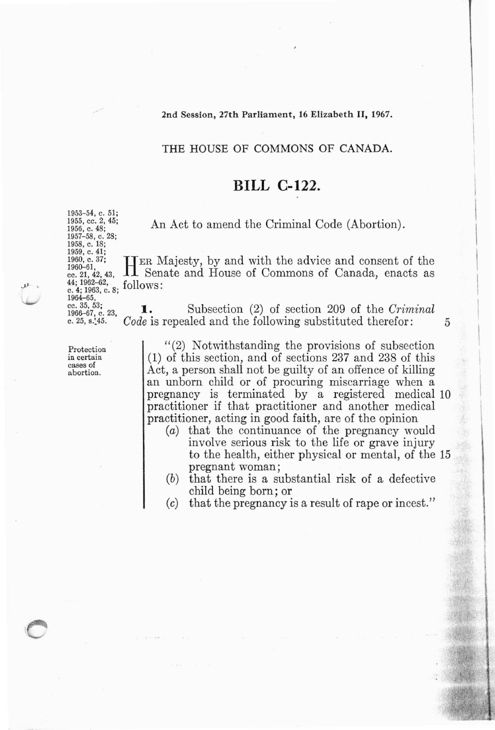#### 2nd Session, 27th Parliament, 16 Elizabeth II, 1967.

## THE HOUSE OF COMMONS OF CANADA.

## **BILL C-122.**

An Act to amend the Criminal Code (Abortion).

<sup>1960</sup>, c. <sup>37;</sup> HER Majesty, by and with the advice and consent of the capacity, Senate and House of Commons of Canada, enacts as  $\frac{\text{c. 21, 42, 43}}{44:1962-62}$ , follows: follows:

<sup>cc. 35</sup><sup>53</sup>; <sup>53</sup><sub>1</sub>, c. 23, **1.** Subsection (2) of section 209 of the *Criminal* 1966-67, c. 23, *Code* is repealed and the following substituted therefor: *Code* is repealed and the following substituted therefor: 5

> "(2) Notwithstanding the provisions of subsection (1) of this section, and of sections 237 and 238 of this Act, a person shall not be guilty of an offence of killing an unborn child or of procuring miscarriage when a pregnancy is terminated by a registered medical 10 practitioner if that practitioner and another medical practitioner, acting in good faith, are of the opinion

- (a) that the continuance of the pregnancy would involve serious risk to the life or grave injury to the health, either physical or mental, of the 15 pregnant woman;
- (b) that there is a substantial risk of a defective child being born; or
- (c) that the pregnancy is a result of rape or incest."

1955, cc. 2, 45; 1956, c. 48; 1957- 58, c. 28; 1958, c. 18;<br>1959, c. 41;<br>1960, c. 37;<br>1960–61. c. 4; 1963, c. 8;<br>1964–65,<br>cc. 35, 53;

1953-54, c. 51;

 $\mathbf{u}$  .

Protection in certain cases of abortion.

 $\overline{\phantom{a}}$ 

 $\overline{\phantom{a}}$ 

I

 $\mathbf{I}$ 

I  $\mathbf{I}$ I I

I

I